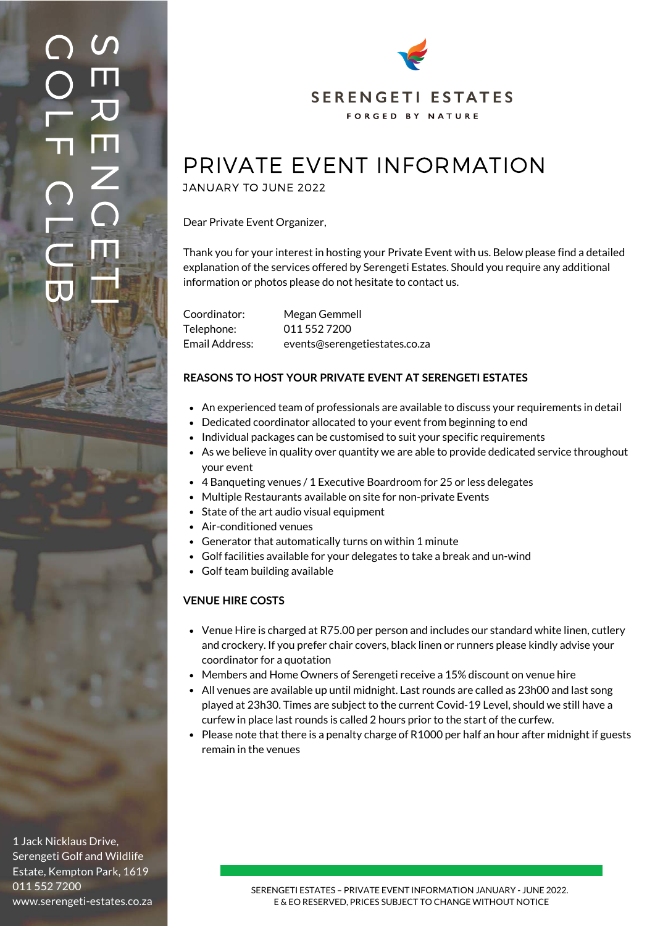$\boldsymbol{\mathcal{S}}$  $\blacksquare$  $\overline{\bm{v}}$ E  $\mathsf{Z}$  $\bigcirc$ TE. ms. IN 14 O  $\bigcap$  $\bigcirc$ L  $\overline{\mathbf{L}}$  $\bigcap$ L U  $\overline{\mathbf{U}}$ 



# PRIVATE EVENT INFORMATION

JANUARY TO JUNE 2022

Dear Private Event Organizer,

Thank you for your interest in hosting your Private Event with us. Below please find a detailed explanation of the services offered by Serengeti Estates. Should you require any additional information or photos please do not hesitate to contact us.

Coordinator: Telephone: Email Address: Megan Gemmell 011 552 7200 events@serengetiestates.co.za

## **REASONS TO HOST YOUR PRIVATE EVENT AT SERENGETI ESTATES**

- An experienced team of professionals are available to discuss your requirements in detail
- Dedicated coordinator allocated to your event from beginning to end
- Individual packages can be customised to suit your specific requirements
	- As we believe in quality over quantity we are able to provide dedicated service throughout your event
	- 4 Banqueting venues / 1 Executive Boardroom for 25 or less delegates
	- Multiple Restaurants available on site for non-private Events
	- State of the art audio visual equipment
	- Air-conditioned venues
	- Generator that automatically turns on within 1 minute
	- Golf facilities available for your delegates to take a break and un-wind
	- Golf team building available

## **VENUE HIRE COSTS**

- Venue Hire is charged at R75.00 per person and includes our standard white linen, cutlery and crockery. If you prefer chair covers, black linen or runners please kindly advise your coordinator for a quotation
- Members and Home Owners of Serengeti receive a 15% discount on venue hire
- All venues are available up until midnight. Last rounds are called as 23h00 and last song played at 23h30. Times are subject to the current Covid-19 Level, should we still have a curfew in place last rounds is called 2 hours prior to the start of the curfew.
- Please note that there is a penalty charge of R1000 per half an hour after midnight if guests remain in the venues

1 Jack Nicklaus Drive, Serengeti Golf and Wildlife Estate, Kempton Park, 1619 011 552 7200 www.serengeti-estates.co.za

SERENGETI ESTATES – PRIVATE EVENT INFORMATION JANUARY - JUNE 2022. E & EO RESERVED, PRICES SUBJECT TO CHANGE WITHOUT NOTICE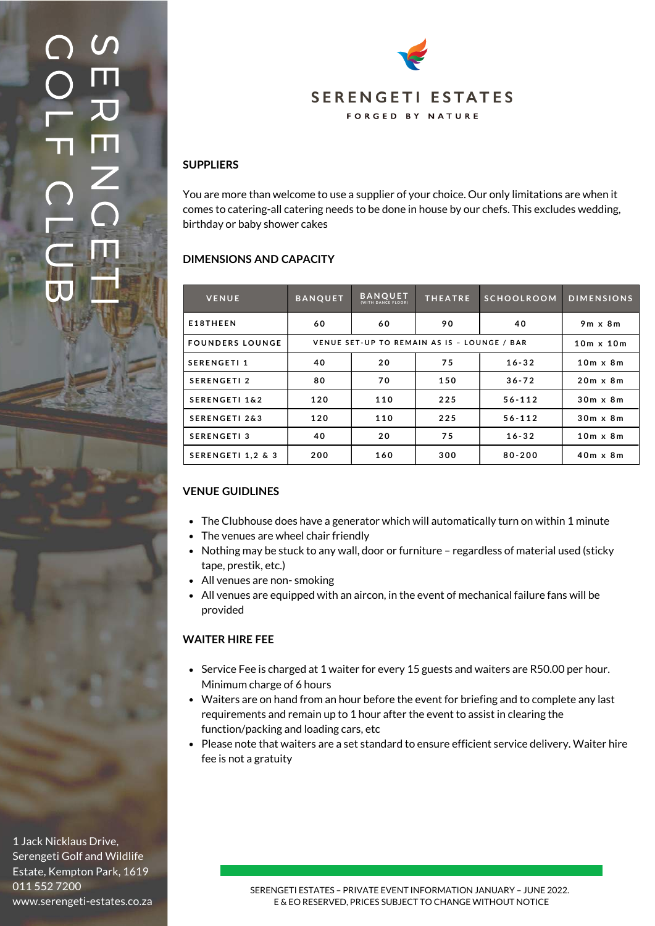# $\boldsymbol{\mathcal{S}}$  $\blacksquare$  $\overline{\bm{v}}$ E  $\mathsf{Z}$  $\bigcirc$ TE. ms. IN 14 O  $\bigcap$  $\bigcirc$ L  $\overline{\mathbf{L}}$  $\bigcap$ L U  $\overline{\mathsf{L}}$



You are more than welcome to use a supplier of your choice. Our only limitations are when it comes to catering-all catering needs to be done in house by our chefs. This excludes wedding, birthday or baby shower cakes

# **DIMENSIONS AND CAPACITY**

**SUPPLIERS**

| <b>VENUE</b>             | <b>BANQUET</b>                              | <b>BANQUET</b><br>(WITH DANCE FLOOR) | <b>THEATRE</b> | <b>SCHOOLROOM</b> | <b>DIMENSIONS</b> |
|--------------------------|---------------------------------------------|--------------------------------------|----------------|-------------------|-------------------|
| E18THEEN                 | 60                                          | 60                                   | 90             | 40                | $9m \times 8m$    |
| <b>FOUNDERS LOUNGE</b>   | VENUE SET-UP TO REMAIN AS IS - LOUNGE / BAR |                                      |                |                   | $10m \times 10m$  |
| <b>SERENGETI1</b>        | 40                                          | 20                                   | 75             | $16 - 32$         | $10m \times 8m$   |
| <b>SERENGETI2</b>        | 80                                          | 70                                   | 150            | $36 - 72$         | $20m \times 8m$   |
| <b>SERENGETI 1&amp;2</b> | 120                                         | 110                                  | 225            | $56 - 112$        | $30m \times 8m$   |
| <b>SERENGETI 2&amp;3</b> | 120                                         | 110                                  | 225            | $56 - 112$        | $30m \times 8m$   |
| <b>SERENGETI3</b>        | 40                                          | 20                                   | 75             | $16 - 32$         | $10m \times 8m$   |
| SERENGETI 1,2 & 3        | 200                                         | 160                                  | 300            | $80 - 200$        | $40m \times 8m$   |

# **VENUE GUIDLINES**

- The Clubhouse does have a generator which will automatically turn on within 1 minute
- The venues are wheel chair friendly
- Nothing may be stuck to any wall, door or furniture regardless of material used (sticky tape, prestik, etc.)
- All venues are non- smoking
- All venues are equipped with an aircon, in the event of mechanical failure fans will be provided

# **WAITER HIRE FEE**

- Service Fee is charged at 1 waiter for every 15 guests and waiters are R50.00 per hour. Minimum charge of 6 hours
- Waiters are on hand from an hour before the event for briefing and to complete any last requirements and remain up to 1 hour after the event to assist in clearing the function/packing and loading cars, etc
- Please note that waiters are a set standard to ensure efficient service delivery. Waiter hire fee is not a gratuity

1 Jack Nicklaus Drive, Serengeti Golf and Wildlife Estate, Kempton Park, 1619 011 552 7200 www.serengeti-estates.co.za

SERENGETI ESTATES – PRIVATE EVENT INFORMATION JANUARY – JUNE 2022. E & EO RESERVED, PRICES SUBJECT TO CHANGE WITHOUT NOTICE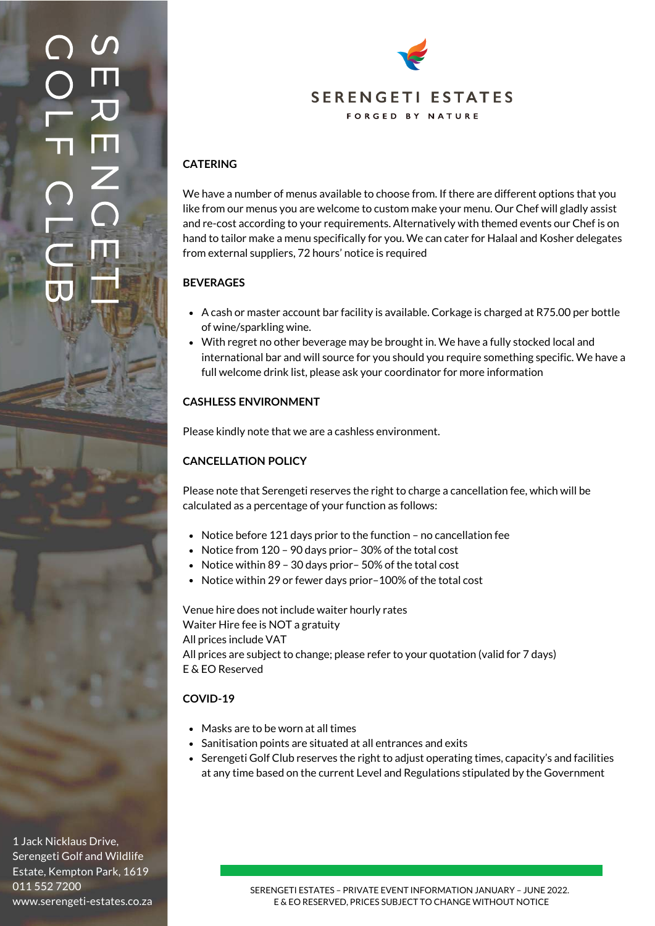# $\boldsymbol{\mathcal{S}}$  $\blacksquare$  $\overline{\bm{v}}$ E  $\mathsf{Z}$  $\bigcirc$ TE. ms. IN 14 O  $\bigcap$  $\bigcirc$ L  $\overline{\mathbf{L}}$  $\bigcap$ L U  $\overline{\mathbf{U}}$



# **CATERING**

We have a number of menus available to choose from. If there are different options that you like from our menus you are welcome to custom make your menu. Our Chef will gladly assist and re-cost according to your requirements. Alternatively with themed events our Chef is on hand to tailor make a menu specifically for you. We can cater for Halaal and Kosher delegates from external suppliers, 72 hours' notice is required

# **BEVERAGES**

- A cash or master account bar facility is available. Corkage is charged at R75.00 per bottle of wine/sparkling wine.
- With regret no other beverage may be brought in. We have a fully stocked local and international bar and will source for you should you require something specific. We have a full welcome drink list, please ask your coordinator for more information

# **CASHLESS ENVIRONMENT**

Please kindly note that we are a cashless environment.

# **CANCELLATION POLICY**

Please note that Serengeti reserves the right to charge a cancellation fee, which will be calculated as a percentage of your function as follows:

- Notice before 121 days prior to the function no cancellation fee
- Notice from 120 90 days prior-30% of the total cost
- Notice within 89 30 days prior 50% of the total cost
- Notice within 29 or fewer days prior-100% of the total cost

Venue hire does not include waiter hourly rates Waiter Hire fee is NOT a gratuity All prices include VAT All prices are subject to change; please refer to your quotation (valid for 7 days) E & EO Reserved

# **COVID-19**

- Masks are to be worn at all times
- Sanitisation points are situated at all entrances and exits
- Serengeti Golf Club reserves the right to adjust operating times, capacity's and facilities at any time based on the current Level and Regulations stipulated by the Government

1 Jack Nicklaus Drive, Serengeti Golf and Wildlife Estate, Kempton Park, 1619 011 552 7200 www.serengeti-estates.co.za

SERENGETI ESTATES – PRIVATE EVENT INFORMATION JANUARY – JUNE 2022. E & EO RESERVED, PRICES SUBJECT TO CHANGE WITHOUT NOTICE